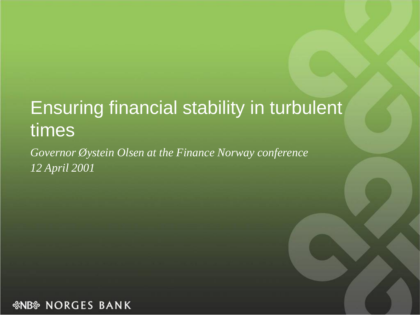### Ensuring financial stability in turbulent times

*Governor Øystein Olsen at the Finance Norway conference 12 April 2001*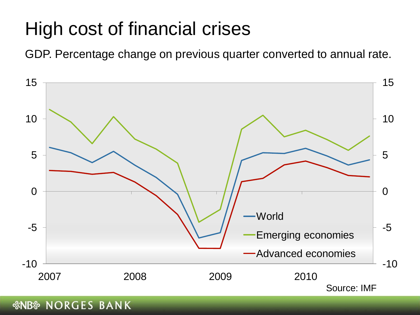### High cost of financial crises

GDP. Percentage change on previous quarter converted to annual rate.

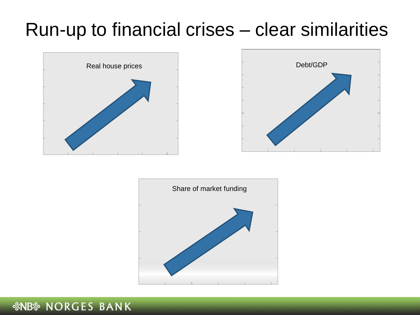### Run-up to financial crises – clear similarities





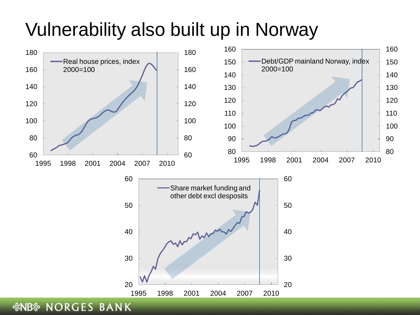### Vulnerability also built up in Norway

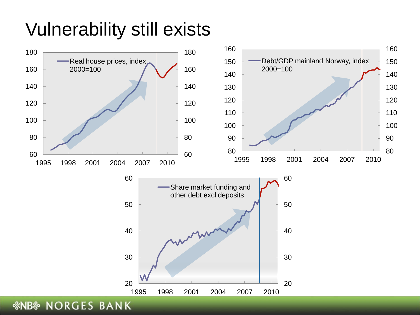## Vulnerability still exists

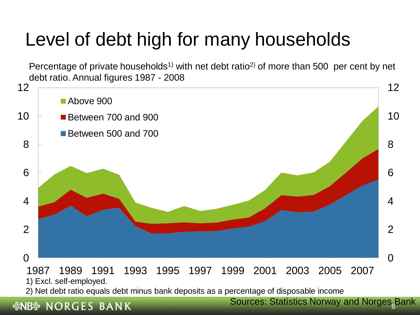# Level of debt high for many households

Percentage of private households<sup>1)</sup> with net debt ratio<sup>2</sup> of more than 500 per cent by net debt ratio. Annual figures 1987 - 2008



#### *<b><i>SNB* NORGES BANK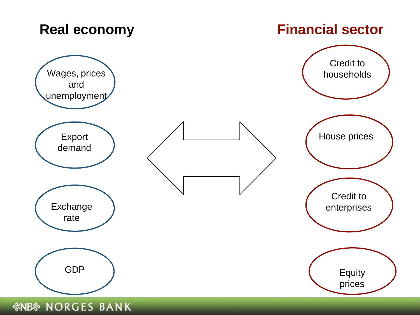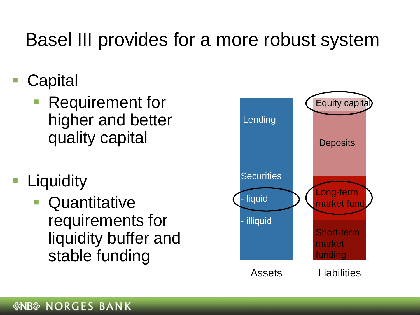### Basel III provides for a more robust system

- **Capital** 
	- Requirement for higher and better quality capital
- **Liquidity** 
	- **Quantitative** requirements for liquidity buffer and stable funding

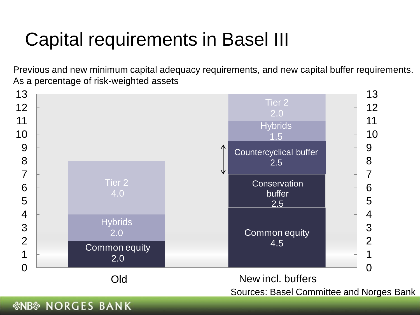# Capital requirements in Basel III

Previous and new minimum capital adequacy requirements, and new capital buffer requirements. As a percentage of risk-weighted assets

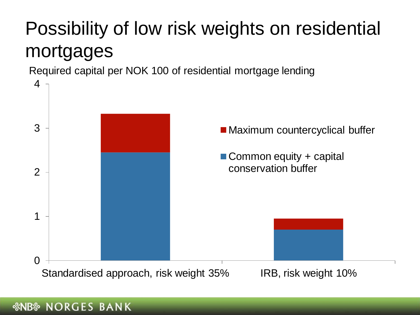# Possibility of low risk weights on residential mortgages

Required capital per NOK 100 of residential mortgage lending